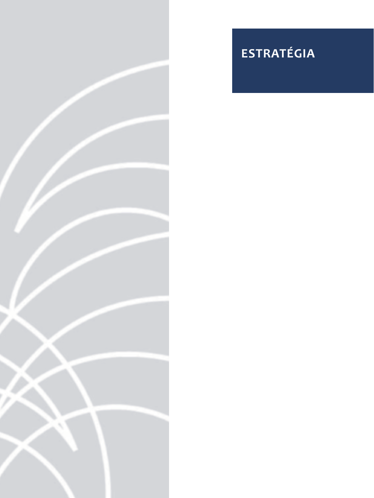

# **ESTRATÉGIA**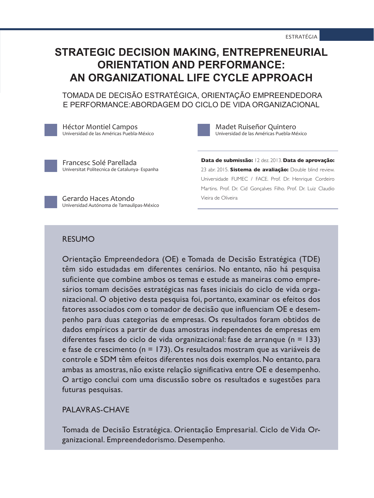## **STRATEGIC DECISION MAKING, ENTREPRENEURIAL ORIENTATION AND PERFORMANCE: AN ORGANIZATIONAL LIFE CYCLE APPROACH**

 TOMADA DE DECISÃO ESTRATÉGICA, ORIENTAÇÃO EMPREENDEDORA E PERFORMANCE:ABORDAGEM DO CICLO DE VIDA ORGANIZACIONAL

Héctor Montiel Campos Universidad de las Américas Puebla-México

Madet Ruiseñor Quintero Universidad de las Américas Puebla-México

Francesc Solé Parellada Universitat Politecnica de Catalunya- Espanha

Universidad Autónoma de Tamaulipas-México

Gerardo Haces Atondo

**Data de submissão:** 12 dez. 2013. **Data de aprovação:**  23 abr. 2015. **Sistema de avaliação:** Double blind review. Universidade FUMEC / FACE. Prof. Dr. Henrique Cordeiro Martins. Prof. Dr. Cid Gonçalves Filho. Prof. Dr. Luiz Claudio Vieira de Oliveira

RESUMO

Orientação Empreendedora (OE) e Tomada de Decisão Estratégica (TDE) têm sido estudadas em diferentes cenários. No entanto, não há pesquisa suficiente que combine ambos os temas e estude as maneiras como empresários tomam decisões estratégicas nas fases iniciais do ciclo de vida organizacional. O objetivo desta pesquisa foi, portanto, examinar os efeitos dos fatores associados com o tomador de decisão que influenciam OE e desempenho para duas categorias de empresas. Os resultados foram obtidos de dados empíricos a partir de duas amostras independentes de empresas em diferentes fases do ciclo de vida organizacional: fase de arranque (n = 133) e fase de crescimento (n = 173). Os resultados mostram que as variáveis de controle e SDM têm efeitos diferentes nos dois exemplos. No entanto, para ambas as amostras, não existe relação significativa entre OE e desempenho. O artigo conclui com uma discussão sobre os resultados e sugestões para futuras pesquisas.

PALAVRAS-CHAVE

Tomada de Decisão Estratégica. Orientação Empresarial. Ciclo de Vida Organizacional. Empreendedorismo. Desempenho.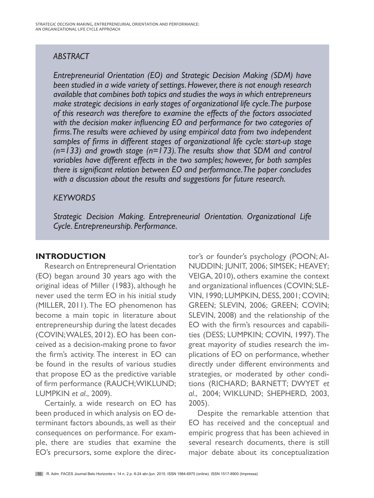## *ABSTRACT*

*Entrepreneurial Orientation (EO) and Strategic Decision Making (SDM) have been studied in a wide variety of settings. However, there is not enough research available that combines both topics and studies the ways in which entrepreneurs make strategic decisions in early stages of organizational life cycle. The purpose of this research was therefore to examine the effects of the factors associated with the decision maker influencing EO and performance for two categories of firms. The results were achieved by using empirical data from two independent samples of firms in different stages of organizational life cycle: start-up stage (n=133) and growth stage (n=173). The results show that SDM and control variables have different effects in the two samples; however, for both samples there is significant relation between EO and performance. The paper concludes with a discussion about the results and suggestions for future research.*

## *KEYWORDS*

*Strategic Decision Making. Entrepreneurial Orientation. Organizational Life Cycle. Entrepreneurship. Performance.*

## **INTRODUCTION**

Research on Entrepreneural Orientation (EO) began around 30 years ago with the original ideas of Miller (1983), although he never used the term EO in his initial study (MILLER, 2011). The EO phenomenon has become a main topic in literature about entrepreneurship during the latest decades (COVIN; WALES, 2012). EO has been conceived as a decision-making prone to favor the firm's activity. The interest in EO can be found in the results of various studies that propose EO as the predictive variable of firm performance (RAUCH; WIKLUND; LUMPKIN *et al*., 2009).

Certainly, a wide research on EO has been produced in which analysis on EO determinant factors abounds, as well as their consequences on performance. For example, there are studies that examine the EO's precursors, some explore the director's or founder's psychology (POON; AI-NUDDIN; JUNIT, 2006; SIMSEK; HEAVEY; VEIGA, 2010), others examine the context and organizational influences (COVIN; SLE-VIN, 1990; LUMPKIN, DESS, 2001; COVIN; GREEN; SLEVIN, 2006; GREEN; COVIN; SLEVIN, 2008) and the relationship of the EO with the firm's resources and capabilities (DESS; LUMPKIN; COVIN, 1997). The great mayority of studies research the implications of EO on performance, whether directly under different environments and strategies, or moderated by other conditions (RICHARD; BARNETT; DWYET *et al*., 2004; WIKLUND; SHEPHERD, 2003, 2005).

Despite the remarkable attention that EO has received and the conceptual and empiric progress that has been achieved in several research documents, there is still major debate about its conceptualization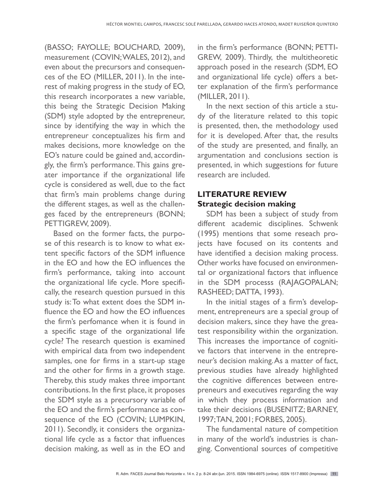(BASSO; FAYOLLE; BOUCHARD, 2009), measurement (COVIN; WALES, 2012), and even about the precursors and consequences of the EO (MILLER, 2011). In the interest of making progress in the study of EO, this research incorporates a new variable, this being the Strategic Decision Making (SDM) style adopted by the entrepreneur, since by identifying the way in which the entrepreneur conceptualizes his firm and makes decisions, more knowledge on the EO's nature could be gained and, accordingly, the firm's performance. This gains greater importance if the organizational life cycle is considered as well, due to the fact that firm's main problems change during the different stages, as well as the challenges faced by the entrepreneurs (BONN; PETTIGREW, 2009).

Based on the former facts, the purpose of this research is to know to what extent specific factors of the SDM influence in the EO and how the EO influences the firm's performance, taking into account the organizational life cycle. More specifically, the research question pursued in this study is: To what extent does the SDM influence the EO and how the EO influences the firm's perfomance when it is found in a specific stage of the organizational life cycle? The research question is examined with empirical data from two independent samples, one for firms in a start-up stage and the other for firms in a growth stage. Thereby, this study makes three important contributions. In the first place, it proposes the SDM style as a precursory variable of the EO and the firm's performance as consequence of the EO (COVIN; LUMPKIN, 2011). Secondly, it considers the organizational life cycle as a factor that influences decision making, as well as in the EO and

in the firm's performance (BONN; PETTI-GREW, 2009). Thirdly, the multitheoretic approach posed in the research (SDM, EO and organizational life cycle) offers a better explanation of the firm's performance (MILLER, 2011).

In the next section of this article a study of the literature related to this topic is presented, then, the methodology used for it is developed. After that, the results of the study are presented, and finally, an argumentation and conclusions section is presented, in which suggestions for future research are included.

## **LITERATURE REVIEW Strategic decision making**

SDM has been a subject of study from different academic disciplines. Schwenk (1995) mentions that some reseach projects have focused on its contents and have identified a decision making process. Other works have focused on environmental or organizational factors that influence in the SDM processs (RAJAGOPALAN; RASHEED; DATTA, 1993).

In the initial stages of a firm's development, entrepreneurs are a special group of decision makers, since they have the greatest responsibility within the organization. This increases the importance of cognitive factors that intervene in the entrepreneur's decision making. As a matter of fact, previous studies have already highlighted the cognitive differences between entrepreneurs and executives regarding the way in which they process information and take their decisions (BUSENITZ; BARNEY, 1997; TAN, 2001; FORBES, 2005).

The fundamental nature of competition in many of the world's industries is changing. Conventional sources of competitive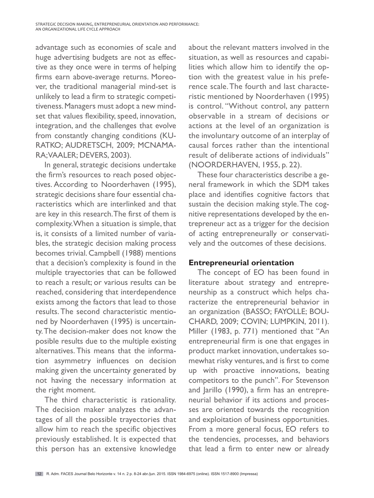STRATEGIC DECISION MAKING, ENTREPRENEURIAL ORIENTATION AND PERFORMANCE: AN ORGANIZATIONAL LIFE CYCLE APPROACH

advantage such as economies of scale and huge advertising budgets are not as effective as they once were in terms of helping firms earn above-average returns. Moreover, the traditional managerial mind-set is unlikely to lead a firm to strategic competitiveness. Managers must adopt a new mindset that values flexibility, speed, innovation, integration, and the challenges that evolve from constantly changing conditions (KU-RATKO; AUDRETSCH, 2009; MCNAMA-RA; VAALER; DEVERS, 2003).

In general, strategic decisions undertake the firm's resources to reach posed objectives. According to Noorderhaven (1995), strategic decisions share four essential characteristics which are interlinked and that are key in this research. The first of them is complexity. When a situation is simple, that is, it consists of a limited number of variables, the strategic decision making process becomes trivial. Campbell (1988) mentions that a decision's complexity is found in the multiple trayectories that can be followed to reach a result; or various results can be reached, considering that interdependence exists among the factors that lead to those results. The second characteristic mentioned by Noorderhaven (1995) is uncertainty. The decision-maker does not know the posible results due to the multiple existing alternatives. This means that the information asymmetry influences on decision making given the uncertainty generated by not having the necessary information at the right moment.

The third characteristic is rationality. The decision maker analyzes the advantages of all the possible trayectories that allow him to reach the specific objectives previously established. It is expected that this person has an extensive knowledge about the relevant matters involved in the situation, as well as resources and capabilities which allow him to identify the option with the greatest value in his preference scale. The fourth and last characteristic mentioned by Noorderhaven (1995) is control. "Without control, any pattern observable in a stream of decisions or actions at the level of an organization is the involuntary outcome of an interplay of causal forces rather than the intentional result of deliberate actions of individuals" (NOORDERHAVEN, 1955, p. 22).

These four characteristics describe a general framework in which the SDM takes place and identifies cognitive factors that sustain the decision making style. The cognitive representations developed by the entrepreneur act as a trigger for the decision of acting entrepreneurally or conservatively and the outcomes of these decisions.

#### **Entrepreneurial orientation**

The concept of EO has been found in literature about strategy and entrepreneurship as a construct which helps characterize the entrepreneurial behavior in an organization (BASSO; FAYOLLE; BOU-CHARD, 2009; COVIN; LUMPKIN, 2011). Miller (1983, p. 771) mentioned that "An entrepreneurial firm is one that engages in product market innovation, undertakes somewhat risky ventures, and is first to come up with proactive innovations, beating competitors to the punch". For Stevenson and Jarillo (1990), a firm has an entrepreneurial behavior if its actions and processes are oriented towards the recognition and exploitation of business opportunities. From a more general focus, EO refers to the tendencies, processes, and behaviors that lead a firm to enter new or already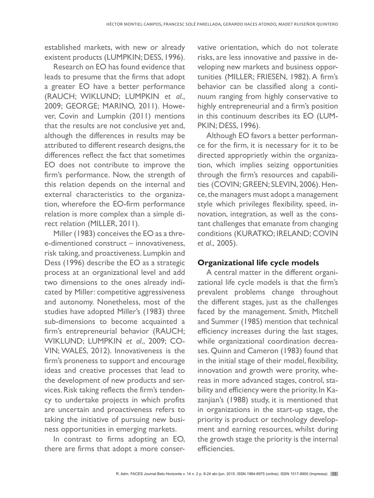established markets, with new or already existent products (LUMPKIN; DESS, 1996).

Research on EO has found evidence that leads to presume that the firms that adopt a greater EO have a better performance (RAUCH; WIKLUND; LUMPKIN *et al*., 2009; GEORGE; MARINO, 2011). However, Covin and Lumpkin (2011) mentions that the results are not conclusive yet and, although the differences in results may be attributed to different research designs, the differences reflect the fact that sometimes EO does not contribute to improve the firm's performance. Now, the strength of this relation depends on the internal and external characteristics to the organization, wherefore the EO-firm performance relation is more complex than a simple direct relation (MILLER, 2011).

Miller (1983) conceives the EO as a three-dimentioned construct – innovativeness, risk taking, and proactiveness. Lumpkin and Dess (1996) describe the EO as a strategic process at an organizational level and add two dimensions to the ones already indicated by Miller: competitive aggressiveness and autonomy. Nonetheless, most of the studies have adopted Miller's (1983) three sub-dimensions to become acquainted a firm's entrepreneurial behavior (RAUCH; WIKLUND; LUMPKIN *et al*., 2009; CO-VIN; WALES, 2012). Innovativeness is the firm's proneness to support and encourage ideas and creative processes that lead to the development of new products and services. Risk taking reflects the firm's tendency to undertake projects in which profits are uncertain and proactiveness refers to taking the initiative of pursuing new business opportunities in emerging markets.

In contrast to firms adopting an EO, there are firms that adopt a more conservative orientation, which do not tolerate risks, are less innovative and passive in developing new markets and business opportunities (MILLER; FRIESEN, 1982). A firm's behavior can be classified along a continuum ranging from highly conservative to highly entrepreneurial and a firm's position in this continuum describes its EO (LUM-PKIN; DESS, 1996).

Although EO favors a better performance for the firm, it is necessary for it to be directed approprietly within the organization, which implies seizing opportunities through the firm's resources and capabilities (COVIN; GREEN; SLEVIN, 2006). Hence, the managers must adopt a management style which privileges flexibility, speed, innovation, integration, as well as the constant challenges that emanate from changing conditions (KURATKO; IRELAND; COVIN *et al*., 2005).

#### **Organizational life cycle models**

A central matter in the different organizational life cycle models is that the firm's prevalent problems change throughout the different stages, just as the challenges faced by the management. Smith, Mitchell and Summer (1985) mention that technical efficiency increases during the last stages, while organizational coordination decreases. Quinn and Cameron (1983) found that in the initial stage of their model, flexibility, innovation and growth were prority, whereas in more advanced stages, control, stability and efficiency were the priority. In Kazanjian's (1988) study, it is mentioned that in organizations in the start-up stage, the priority is product or technology development and earning resources, whilst during the growth stage the priority is the internal efficiencies.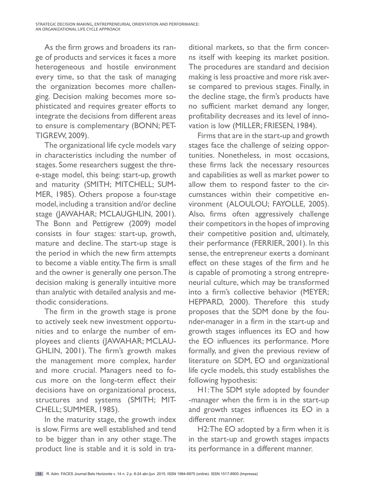STRATEGIC DECISION MAKING, ENTREPRENEURIAL ORIENTATION AND PERFORMANCE: AN ORGANIZATIONAL LIFE CYCLE APPROACH

As the firm grows and broadens its range of products and services it faces a more heterogeneous and hostile environment every time, so that the task of managing the organization becomes more challenging. Decision making becomes more sophisticated and requires greater efforts to integrate the decisions from different areas to ensure is complementary (BONN; PET-TIGREW, 2009).

The organizational life cycle models vary in characteristics including the number of stages. Some researchers suggest the three-stage model, this being: start-up, growth and maturity (SMITH; MITCHELL; SUM-MER, 1985). Others propose a four-stage model, including a transition and/or decline stage (JAWAHAR; MCLAUGHLIN, 2001). The Bonn and Pettigrew (2009) model consists in four stages: start-up, growth, mature and decline. The start-up stage is the period in which the new firm attempts to become a viable entity. The firm is small and the owner is generally one person. The decision making is generally intuitive more than analytic with detailed analysis and methodic considerations.

The firm in the growth stage is prone to actively seek new investment opportunities and to enlarge the number of employees and clients (JAWAHAR; MCLAU-GHLIN, 2001). The firm's growth makes the management more complex, harder and more crucial. Managers need to focus more on the long-term effect their decisions have on organizational process, structures and systems (SMITH; MIT-CHELL; SUMMER, 1985).

In the maturity stage, the growth index is slow. Firms are well established and tend to be bigger than in any other stage. The product line is stable and it is sold in tra-

ditional markets, so that the firm concerns itself with keeping its market position. The procedures are standard and decision making is less proactive and more risk averse compared to previous stages. Finally, in the decline stage, the firm's products have no sufficient market demand any longer, profitability decreases and its level of innovation is low (MILLER; FRIESEN, 1984).

Firms that are in the start-up and growth stages face the challenge of seizing opportunities. Nonetheless, in most occasions, these firms lack the necessary resources and capabilities as well as market power to allow them to respond faster to the circumstances within their competitive environment (ALOULOU; FAYOLLE, 2005). Also, firms often aggressively challenge their competitors in the hopes of improving their competitive position and, ultimately, their performance (FERRIER, 2001). In this sense, the entrepreneur exerts a dominant effect on these stages of the firm and he is capable of promoting a strong entrepreneurial culture, which may be transformed into a firm's collective behavior (MEYER; HEPPARD, 2000). Therefore this study proposes that the SDM done by the founder-manager in a firm in the start-up and growth stages influences its EO and how the EO influences its performance. More formally, and given the previous review of literature on SDM, EO and organizational life cycle models, this study establishes the following hypothesis:

H1: The SDM style adopted by founder -manager when the firm is in the start-up and growth stages influences its EO in a different manner.

H2: The EO adopted by a firm when it is in the start-up and growth stages impacts its performance in a different manner.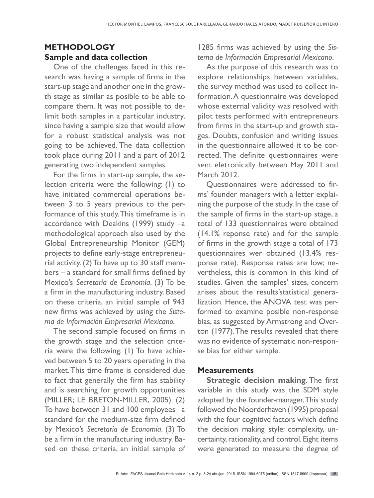## **METHODOLOGY Sample and data collection**

One of the challenges faced in this research was having a sample of firms in the start-up stage and another one in the growth stage as similar as posible to be able to compare them. It was not possible to delimit both samples in a particular industry, since having a sample size that would allow for a robust statistical analysis was not going to be achieved. The data collection took place during 2011 and a part of 2012 generating two independent samples.

For the firms in start-up sample, the selection criteria were the following: (1) to have initiated commercial operations between 3 to 5 years previous to the performance of this study. This timeframe is in accordance with Deakins (1999) study –a methodological approach also used by the Global Entrepreneurship Monitor (GEM) projects to define early-stage entrepreneurial activity. (2) To have up to 30 staff members – a standard for small firms defined by Mexico's *Secretaría de Economía*. (3) To be a firm in the manufacturing industry. Based on these criteria, an initial sample of 943 new firms was achieved by using the *Sistema de Información Empresarial Mexicano.*

The second sample focused on firms in the growth stage and the selection criteria were the following: (1) To have achieved between 5 to 20 years operating in the market. This time frame is considered due to fact that generally the firm has stability and is searching for growth opportunities (MILLER; LE BRETON-MILLER, 2005). (2) To have between 31 and 100 employees –a standard for the medium-size firm defined by Mexico's *Secretaría de Economía*. (3) To be a firm in the manufacturing industry. Based on these criteria, an initial sample of

1285 firms was achieved by using the *Sistema de Información Empresarial Mexicano*.

As the purpose of this research was to explore relationships between variables, the survey method was used to collect information. A questionnaire was developed whose external validity was resolved with pilot tests performed with entrepreneurs from firms in the start-up and growth stages. Doubts, confusion and writing issues in the questionnaire allowed it to be corrected. The definite questionnaires were sent eletronically between May 2011 and March 2012.

Questionnaires were addressed to firms' founder managers with a letter explaining the purpose of the study. In the case of the sample of firms in the start-up stage, a total of 133 questionnaires were obtained (14.1% reponse rate) and for the sample of firms in the growth stage a total of 173 questionnaires wer obtained (13.4% response rate). Response rates are low; nevertheless, this is common in this kind of studies. Given the samples' sizes, concern arises about the results'statistical generalization. Hence, the ANOVA test was performed to examine posible non-response bias, as suggested by Armstrong and Overton (1977). The results revealed that there was no evidence of systematic non-response bias for either sample.

#### **Measurements**

**Strategic decision making.** The first variable in this study was the SDM style adopted by the founder-manager. This study followed the Noorderhaven (1995) proposal with the four cognitive factors which define the decision making style: complexity, uncertainty, rationality, and control. Eight items were generated to measure the degree of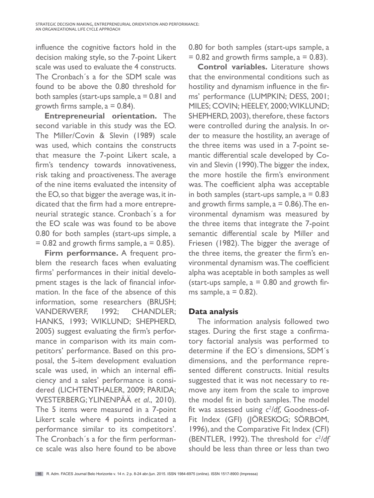influence the cognitive factors hold in the decision making style, so the 7-point Likert scale was used to evaluate the 4 constructs. The Cronbach´s a for the SDM scale was found to be above the 0.80 threshold for both samples (start-ups sample,  $a = 0.81$  and growth firms sample,  $a = 0.84$ ).

**Entrepreneurial orientation.** The second variable in this study was the EO. The Miller/Covin & Slevin (1989) scale was used, which contains the constructs that measure the 7-point Likert scale, a firm's tendency towards innovativeness, risk taking and proactiveness. The average of the nine items evaluated the intensity of the EO, so that bigger the average was, it indicated that the firm had a more entrepreneurial strategic stance. Cronbach´s a for the EO scale was was found to be above 0.80 for both samples (start-ups simple, a  $= 0.82$  and growth firms sample,  $a = 0.85$ ).

**Firm performance.** A frequent problem the research faces when evaluating firms' performances in their initial development stages is the lack of financial information. In the face of the absence of this information, some researchers (BRUSH; VANDERWERF, 1992; CHANDLER; HANKS, 1993; WIKLUND; SHEPHERD, 2005) suggest evaluating the firm's performance in comparison with its main competitors' performance. Based on this proposal, the 5-item development evaluation scale was used, in which an internal efficiency and a sales' performance is considered (LICHTENTHALER, 2009; PARIDA; WESTERBERG; YLINENPÄÄ *et al*., 2010). The 5 items were measured in a 7-point Likert scale where 4 points indicated a performance similar to its competitors'. The Cronbach´s a for the firm performance scale was also here found to be above 0.80 for both samples (start-ups sample, a  $= 0.82$  and growth firms sample,  $a = 0.83$ ).

**Control variables.** Literature shows that the environmental conditions such as hostility and dynamism influence in the firms' performance (LUMPKIN; DESS, 2001; MILES; COVIN; HEELEY, 2000; WIKLUND; SHEPHERD, 2003), therefore, these factors were controlled during the analysis. In order to measure the hostility, an average of the three items was used in a 7-point semantic differential scale developed by Covin and Slevin (1990). The bigger the index, the more hostile the firm's environment was. The coefficient alpha was acceptable in both samples (start-ups sample,  $a = 0.83$ ) and growth firms sample,  $a = 0.86$ ). The environmental dynamism was measured by the three items that integrate the 7-point semantic differential scale by Miller and Friesen (1982). The bigger the average of the three items, the greater the firm's environmental dynamism was. The coefficient alpha was aceptable in both samples as well (start-ups sample,  $a = 0.80$  and growth firms sample,  $a = 0.82$ ).

## **Data analysis**

The information analysis followed two stages. During the first stage a confirmatory factorial analysis was performed to determine if the EO´s dimensions, SDM´s dimensions, and the performance represented different constructs. Initial results suggested that it was not necessary to remove any item from the scale to improve the model fit in both samples. The model fit was assessed using  $c^2$ /df, Goodness-of-Fit Index (GFI) (JÖRESKOG; SÖRBOM, 1996), and the Comparative Fit Index (CFI) (BENTLER, 1992). The threshold for  $c^2$ /df should be less than three or less than two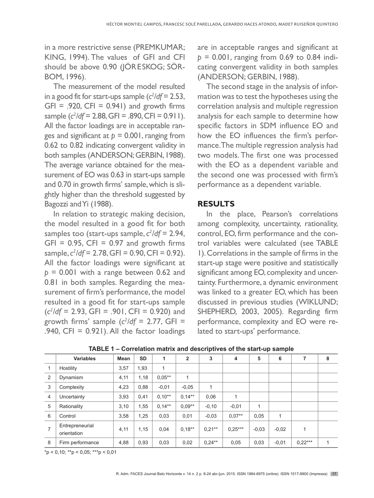in a more restrictive sense (PREMKUMAR; KING, 1994). The values of GFI and CFI should be above 0.90 (JÖRESKOG; SÖR-BOM, 1996).

The measurement of the model resulted in a good fit for start-ups sample  $(c^2/df = 2.53,$  $GFI = .920$ ,  $CFI = 0.941$  and growth firms sample (*c2 /df* = 2.88, GFI = .890, CFI = 0.911). All the factor loadings are in acceptable ranges and significant at *p* = 0.001, ranging from 0.62 to 0.82 indicating convergent validity in both samples (ANDERSON; GERBIN, 1988). The average variance obtained for the measurement of EO was 0.63 in start-ups sample and 0.70 in growth firms' sample, which is slightly higher than the threshold suggested by Bagozzi and Yi (1988).

In relation to strategic making decision, the model resulted in a good fit for both samples too (start-ups sample,  $c^2/df = 2.94$ ,  $GFI = 0.95$ ,  $CFI = 0.97$  and growth firms sample, *c2 /df* = 2.78, GFI = 0.90, CFI = 0.92). All the factor loadings were significant at *p* = 0.001 with a range between 0.62 and 0.81 in both samples. Regarding the measurement of firm's performance, the model resulted in a good fit for start-ups sample  $(c^2/df = 2.93, GFI = .901, CFI = 0.920)$  and growth firms' sample  $(c^2/df = 2.77, GFI =$ .940, CFI =  $0.921$ ). All the factor loadings

are in acceptable ranges and significant at *p* = 0.001, ranging from 0.69 to 0.84 indicating convergent validity in both samples (ANDERSON; GERBIN, 1988).

The second stage in the analysis of information was to test the hypotheses using the correlation analysis and multiple regression analysis for each sample to determine how specific factors in SDM influence EO and how the EO influences the firm's performance. The multiple regression analysis had two models. The first one was processed with the EO as a dependent variable and the second one was processed with firm's performance as a dependent variable.

#### **RESULTS**

In the place, Pearson's correlations among complexity, uncertainty, rationality, control, EO, firm performance and the control variables were calculated (see TABLE 1). Correlations in the sample of firms in the start-up stage were positive and statistically significant among EO, complexity and uncertainty. Furthermore, a dynamic environment was linked to a greater EO, which has been discussed in previous studies (WIKLUND; SHEPHERD, 2003, 2005). Regarding firm performance, complexity and EO were related to start-ups' performance.

|                | Variables                      | Mean | <b>SD</b> | 1         | 2         | 3         | 4         | 5       | 6            |           | 8 |
|----------------|--------------------------------|------|-----------|-----------|-----------|-----------|-----------|---------|--------------|-----------|---|
|                | Hostility                      | 3,57 | 1,93      | 1         |           |           |           |         |              |           |   |
| 2              | Dynamism                       | 4,11 | 1,18      | $0.05***$ | 1         |           |           |         |              |           |   |
| 3              | Complexity                     | 4,23 | 0,88      | $-0.01$   | $-0.05$   | 1         |           |         |              |           |   |
| $\overline{4}$ | Uncertainty                    | 3,93 | 0,41      | $0.10**$  | $0.14***$ | 0,06      |           |         |              |           |   |
| 5              | Rationality                    | 3,10 | 1,55      | $0.14***$ | $0.09**$  | $-0,10$   | $-0.01$   | 1       |              |           |   |
| 6              | Control                        | 3,58 | 1,25      | 0,03      | 0,01      | $-0.03$   | $0.07**$  | 0,05    | $\mathbf{1}$ |           |   |
| 7              | Entrepreneurial<br>orientation | 4,11 | 1,15      | 0,04      | $0.18**$  | $0.21***$ | $0.25***$ | $-0.03$ | $-0.02$      |           |   |
| 8              | Firm performance               | 4,88 | 0,93      | 0,03      | 0,02      | $0.24***$ | 0,05      | 0,03    | $-0.01$      | $0.22***$ | 4 |

**TABLE 1 – Correlation matrix and descriptives of the start-up sample**

 $*p < 0.10$ ;  $*p < 0.05$ ;  $**p < 0.01$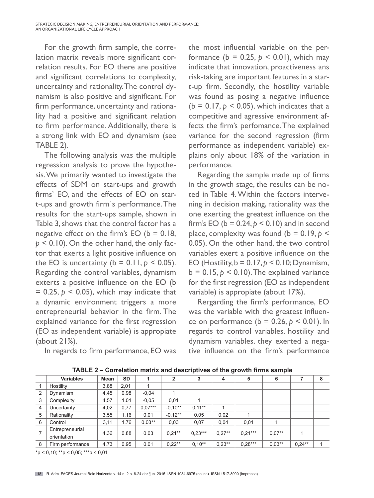For the growth firm sample, the correlation matrix reveals more significant correlation results. For EO there are positive and significant correlations to complexity, uncertainty and rationality. The control dynamism is also positive and significant. For firm performance, uncertainty and rationality had a positive and significant relation to firm performance. Additionally, there is a strong link with EO and dynamism (see TABLE 2).

The following analysis was the multiple regression analysis to prove the hypothesis. We primarily wanted to investigate the effects of SDM on start-ups and growth firms' EO, and the effects of EO on start-ups and growth firm´s performance. The results for the start-ups sample, shown in Table 3, shows that the control factor has a negative effect on the firm's  $EO$  ( $b = 0.18$ ,  $p < 0.10$ ). On the other hand, the only factor that exerts a light positive influence on the EO is uncertainty ( $b = 0.11$ ,  $p < 0.05$ ). Regarding the control variables, dynamism exterts a positive influence on the EO (b  $= 0.25$ ,  $p < 0.05$ ), which may indicate that a dynamic environment triggers a more entrepreneurial behavior in the firm. The explained variance for the first regression (EO as independent variable) is appropiate (about 21%).

In regards to firm performance, EO was

the most influential variable on the performance ( $b = 0.25$ ,  $p < 0.01$ ), which may indicate that innovation, proactiveness ans risk-taking are important features in a start-up firm. Secondly, the hostility variable was found as posing a negative influence  $(b = 0.17, b \le 0.05)$ , which indicates that a competitive and agressive environment affects the firm's perfomance. The explained variance for the second regression (firm performance as independent variable) explains only about 18% of the variation in performance.

Regarding the sample made up of firms in the growth stage, the results can be noted in Table 4. Within the factors intervening in decision making, rationality was the one exerting the greatest influence on the firm's EO ( $b = 0.24$ ,  $p < 0.10$ ) and in second place, complexity was found ( $b = 0.19$ ,  $p <$ 0.05). On the other hand, the two control variables exert a positive influence on the EO (Hostility,  $b = 0.17$ ,  $p < 0.10$ ; Dynamism,  $b = 0.15$ ,  $p < 0.10$ ). The explained variance for the first regression (EO as independent variable) is appropiate (about 17%).

Rergarding the firm's performance, EO was the variable with the greatest influence on performance ( $b = 0.26$ ,  $p < 0.01$ ). In regards to control variables, hostility and dynamism variables, they exerted a negative influence on the firm's performance

|                | <b>Variables</b>               | Mean | <b>SD</b> |           | 2         | 3         | 4        | 5         | 6        |           | 8 |
|----------------|--------------------------------|------|-----------|-----------|-----------|-----------|----------|-----------|----------|-----------|---|
|                | Hostility                      | 3,88 | 2,01      |           |           |           |          |           |          |           |   |
| $\overline{2}$ | Dynamism                       | 4,45 | 0,98      | $-0.04$   |           |           |          |           |          |           |   |
| 3              | Complexity                     | 4,57 | 1,01      | $-0.05$   | 0,01      |           |          |           |          |           |   |
| 4              | Uncertainty                    | 4,02 | 0,77      | $0.07***$ | $-0.10**$ | $0.11***$ |          |           |          |           |   |
| 5              | Rationality                    | 3,55 | 1,16      | 0,01      | $-0.12**$ | 0,05      | 0,02     |           |          |           |   |
| 6              | Control                        | 3,11 | 1,76      | $0.03**$  | 0,03      | 0,07      | 0,04     | 0,01      |          |           |   |
|                | Entrepreneurial<br>orientation | 4,36 | 0,88      | 0,03      | $0,21***$ | $0.23***$ | $0.27**$ | $0.21***$ | $0.07**$ |           |   |
| 8              | Firm performance               | 4,73 | 0,95      | 0,01      | $0.22***$ | $0.10**$  | $0.23**$ | $0.28***$ | $0.03**$ | $0.24***$ |   |

**TABLE 2 – Correlation matrix and descriptives of the growth firms sample**

 $*p < 0.10$ ;  $**p < 0.05$ ;  $***p < 0.01$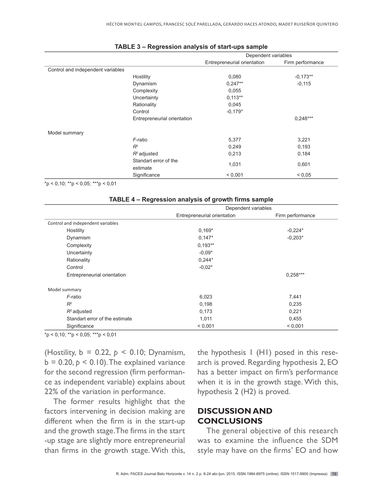|                                   |                             | Dependent variables         |                  |
|-----------------------------------|-----------------------------|-----------------------------|------------------|
|                                   |                             | Entrepreneurial orientation | Firm performance |
| Control and independent variables |                             |                             |                  |
|                                   | Hostility                   | 0,080                       | $-0,173**$       |
|                                   | Dynamism                    | $0,247**$                   | $-0,115$         |
|                                   | Complexity                  | 0,055                       |                  |
|                                   | Uncertainty                 | $0,113**$                   |                  |
|                                   | Rationality                 | 0,045                       |                  |
|                                   | Control                     | $-0.179*$                   |                  |
|                                   | Entrepreneurial orientation |                             | $0,248***$       |
| Model summary                     |                             |                             |                  |
|                                   | F-ratio                     | 5,377                       | 3,221            |
|                                   | $R^2$                       | 0,249                       | 0,193            |
|                                   | $R^2$ adjusted              | 0,213                       | 0,184            |
|                                   | Standart error of the       |                             |                  |
|                                   | estimate                    | 1,031                       | 0,601            |
|                                   | Significance                | < 0.001                     | < 0.05           |

#### **TABLE 3 – Regression analysis of start-ups sample**

 $*p < 0.10$ ;  $**p < 0.05$ ;  $**p < 0.01$ 

| TABLE 4 – Regression analysis of growth firms sample |                             |                  |  |  |  |  |
|------------------------------------------------------|-----------------------------|------------------|--|--|--|--|
|                                                      | Dependent variables         |                  |  |  |  |  |
|                                                      | Entrepreneurial orientation | Firm performance |  |  |  |  |
| Control and independent variables                    |                             |                  |  |  |  |  |
| Hostility                                            | $0,169*$                    | $-0,224*$        |  |  |  |  |
| Dynamism                                             | $0,147*$                    | $-0.203*$        |  |  |  |  |
| Complexity                                           | $0,193**$                   |                  |  |  |  |  |
| Uncertainty                                          | $-0.09*$                    |                  |  |  |  |  |
| Rationality                                          | $0,244*$                    |                  |  |  |  |  |
| Control                                              | $-0.02*$                    |                  |  |  |  |  |
| Entrepreneurial orientation                          |                             | $0,258***$       |  |  |  |  |
| Model summary                                        |                             |                  |  |  |  |  |
| F-ratio                                              | 6,023                       | 7,441            |  |  |  |  |
| $R^2$                                                | 0,198                       | 0,235            |  |  |  |  |
| $R^2$ adjusted                                       | 0,173                       | 0,221            |  |  |  |  |
| Standart error of the estimate                       | 1,011                       | 0,455            |  |  |  |  |
| Significance                                         | < 0.001                     | < 0.001          |  |  |  |  |

| TABLE 4 – Regression analysis of growth firms sample |  |  |  |
|------------------------------------------------------|--|--|--|
|------------------------------------------------------|--|--|--|

 $*p < 0,10; **p < 0,05; **p < 0,01$ 

(Hostility, b = 0.22, *p* < 0.10; Dynamism,  $b = 0.20, p \le 0.10$ . The explained variance for the second regression (firm performance as independent variable) explains about 22% of the variation in performance.

The former results highlight that the factors intervening in decision making are different when the firm is in the start-up and the growth stage. The firms in the start -up stage are slightly more entrepreneurial than firms in the growth stage. With this,

the hypothesis 1 (H1) posed in this research is proved. Regarding hypothesis 2, EO has a better impact on firm's performance when it is in the growth stage. With this, hypothesis 2 (H2) is proved.

### **DISCUSSION AND CONCLUSIONS**

The general objective of this research was to examine the influence the SDM style may have on the firms' EO and how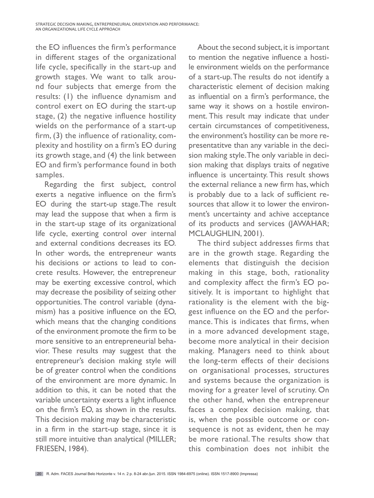the EO influences the firm's performance in different stages of the organizational life cycle, specifically in the start-up and growth stages. We want to talk around four subjects that emerge from the results: (1) the influence dynamism and control exert on EO during the start-up stage, (2) the negative influence hostility wields on the performance of a start-up firm, (3) the influence of rationality, complexity and hostility on a firm's EO during its growth stage, and (4) the link between EO and firm's performance found in both samples.

Regarding the first subject, control exerts a negative influence on the firm's EO during the start-up stage.The result may lead the suppose that when a firm is in the start-up stage of its organizational life cycle, exerting control over internal and external conditions decreases its EO. In other words, the entrepreneur wants his decisions or actions to lead to concrete results. However, the entrepreneur may be exerting excessive control, which may decrease the posibility of seizing other opportunities. The control variable (dynamism) has a positive influence on the EO, which means that the changing conditions of the environment promote the firm to be more sensitive to an entrepreneurial behavior. These results may suggest that the entrepreneur's decision making style will be of greater control when the conditions of the environment are more dynamic. In addition to this, it can be noted that the variable uncertainty exerts a light influence on the firm's EO, as shown in the results. This decision making may be characteristic in a firm in the start-up stage, since it is still more intuitive than analytical (MILLER; FRIESEN, 1984).

About the second subject, it is important to mention the negative influence a hostile environment wields on the performance of a start-up. The results do not identify a characteristic element of decision making as influential on a firm's performance, the same way it shows on a hostile environment. This result may indicate that under certain circumstances of competitiveness, the environment's hostility can be more representatitve than any variable in the decision making style. The only variable in decision making that displays traits of negative influence is uncertainty. This result shows the external reliance a new firm has, which is probably due to a lack of sufficient resources that allow it to lower the environment's uncertainty and achive acceptance of its products and services (JAWAHAR; MCLAUGHLIN, 2001).

The third subject addresses firms that are in the growth stage. Regarding the elements that distinguish the decision making in this stage, both, rationality and complexity affect the firm's EO positively. It is important to highlight that rationality is the element with the biggest influence on the EO and the performance. This is indicates that firms, when in a more advanced development stage, become more analytical in their decision making. Managers need to think about the long-term effects of their decisions on organisational processes, structures and systems because the organization is moving for a greater level of scrutiny. On the other hand, when the entrepreneur faces a complex decision making, that is, when the possible outcome or consequence is not as evident, then he may be more rational. The results show that this combination does not inhibit the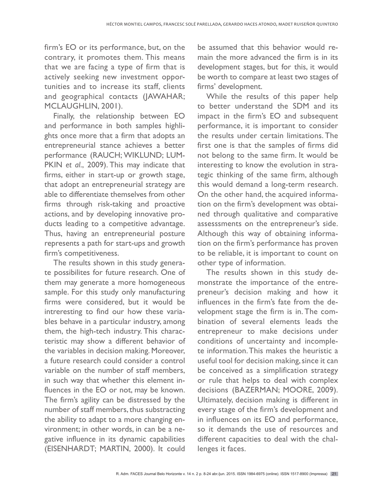firm's EO or its performance, but, on the contrary, it promotes them. This means that we are facing a type of firm that is actively seeking new investment opportunities and to increase its staff, clients and geographical contacts (JAWAHAR; MCLAUGHLIN, 2001).

Finally, the relationship between EO and performance in both samples highlights once more that a firm that adopts an entrepreneurial stance achieves a better performance (RAUCH; WIKLUND; LUM-PKIN *et al*., 2009). This may indicate that firms, either in start-up or growth stage, that adopt an entrepreneurial strategy are able to differentiate themselves from other firms through risk-taking and proactive actions, and by developing innovative products leading to a competitive advantage. Thus, having an entrepreneurial posture represents a path for start-ups and growth firm's competitiveness.

The results shown in this study generate possibilites for future research. One of them may generate a more homogeneous sample. For this study only manufacturing firms were considered, but it would be intreresting to find our how these variables behave in a particular industry, among them, the high-tech industry. This characteristic may show a different behavior of the variables in decision making. Moreover, a future research could consider a control variable on the number of staff members, in such way that whether this element influences in the EO or not, may be known. The firm's agility can be distressed by the number of staff members, thus substracting the ability to adapt to a more changing environment; in other words, in can be a negative influence in its dynamic capabilities (EISENHARDT; MARTIN, 2000). It could

be assumed that this behavior would remain the more advanced the firm is in its development stages, but for this, it would be worth to compare at least two stages of firms' development.

While the results of this paper help to better understand the SDM and its impact in the firm's EO and subsequent performance, it is important to consider the results under certain limitations. The first one is that the samples of firms did not belong to the same firm. It would be interesting to know the evolution in strategic thinking of the same firm, although this would demand a long-term research. On the other hand, the acquired information on the firm's development was obtained through qualitative and comparative assesssments on the entrepreneur's side. Although this way of obtaining information on the firm's performance has proven to be reliable, it is important to count on other type of information.

The results shown in this study demonstrate the importance of the entrepreneur's decision making and how it influences in the firm's fate from the development stage the firm is in. The combination of several elements leads the entrepreneur to make decisions under conditions of uncertainty and incomplete information. This makes the heuristic a useful tool for decision making, since it can be conceived as a simplification strategy or rule that helps to deal with complex decisions (BAZERMAN; MOORE, 2009). Ultimately, decision making is different in every stage of the firm's development and in influences on its EO and performance, so it demands the use of resources and different capacities to deal with the challenges it faces.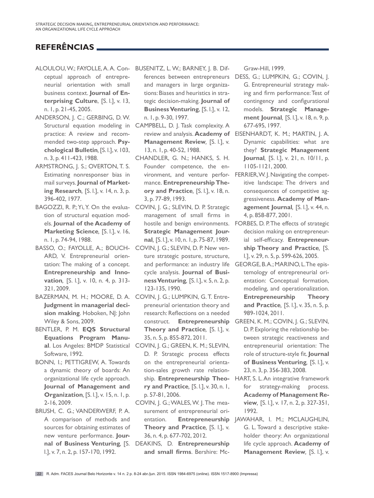## **REFERÊNCIAS**

- ALOULOU, W.; FAYOLLE, A. A. Con-BUSENITZ, L. W.; BARNEY, J. B. Difceptual approach of entrepreneurial orientation with small business context. **Journal of Enterprising Culture**, [S. l.], v. 13, n. 1, p. 21-45, 2005.
- ANDERSON, J. C.; GERBING, D. W. practice: A review and recommended two-step approach. **Psychological Bulletin***,* [S. l.], v. 103, n. 3, p. 411-423, 1988.
- ARMSTRONG, J. S.; OVERTON, T. S. Estimating nonresponser bias in mail surveys. **Journal of Marketing Research***,* [S. l.], v. 14, n. 3, p. 396-402, 1977.
- BAGOZZI, R. P.; Yi, Y. On the evaluation of structural equation models. **Journal of the Academy of Marketing Science***,* [S. l.], v. 16, n. 1, p. 74-94, 1988.
- BASSO, O.; FAYOLLE, A.; BOUCH- COVIN, J. G.; SLEVIN, D. P. New ven-ARD, V. Entrepreneurial orientation: The making of a concept. **Entrepreneurship and Innovation***,* [S. l.], v. 10, n. 4, p. 313- 321, 2009.
- BAZERMAN, M. H.; MOORE, D. A. COVIN, J. G.; LUMPKIN, G. T. Entre-**Judgment in managerial decision making**. Hoboken, NJ: John Wiley & Sons, 2009.
- BENTLER, P. M. **EQS Structural Equations Program Manu-**Software, 1992.
- BONN, I.; PETTIGREW, A. Towards a dynamic theory of boards: An organizational life cycle approach. **Journal of Management and Organization***,* [S. l.], v. 15, n. 1, p. 2-16, 2009.
- BRUSH, C. G.; VANDERWERF, P. A. A comparison of methods and sources for obtaining estimates of new venture performance. **Jour**l.], v. 7, n. 2, p. 157-170, 1992.

and managers in large organizations: Biases and heuristics in strategic decision-making. **Journal of Business Venturing**, [S. l.], v. 12, n. 1, p. 9-30, 1997.

- Structural equation modeling in CAMPBELL, D. J. Task complexity. A **Management Review***,* [S. l.], v. 13, n. 1, p. 40-52, 1988.
	- CHANDLER, G. N.; HANKS, S. H. Founder competence, the enmance. **Entrepreneurship Theory and Practice***,* [S. l.], v. 18, n. 3, p. 77-89, 1993.
	- COVIN, J. G.; SLEVIN, D. P. Strategic management of small firms in **Strategic Management Journal***,* [S. l.], v. 10, n. 1, p. 75-87, 1989.
	- ture strategic posture, structure, and performance: an industry life cycle analysis. **Journal of Business Venturing***,* [S. l.], v. 5, n. 2, p. 123-135, 1990.
	- preneurial orientation theory and research: Reflections on a needed **Theory and Practice***,* [S. l.], v. 35, n. 5, p. 855-872, 2011.
- **al**. Los Angeles: BMDP Statistical COVIN, J. G.; GREEN, K. M.; SLEVIN, D. P. Strategic process effects on the entrepreneurial orientation-sales growth rate relationship. **Entrepreneurship Theory and Practice***,* [S. l.], v. 30, n. 1, p. 57-81, 2006.
	- COVIN, J. G.; WALES, W. J. The measurement of entrepreneurial ori-**Theory and Practice***,* [S. l.], v. 36, n. 4, p. 677-702, 2012.
- **nal of Business Venturing***,* [S. DEAKINS, D. **Entrepreneurship and small firms**. Bershire: Mc-

Graw-Hill, 1999.

- ferences between entrepreneurs DESS, G.; LUMPKIN, G.; COVIN, J. G. Entrepreneurial strategy making and firm performance: Test of contingency and configurational models. **Strategic Management Journal***,* [S. l.], v. 18, n. 9, p. 677-695, 1997.
- review and analysis. **Academy of**  EISENHARDT, K. M.; MARTIN, J. A. Dynamic capabilities: what are they? **Strategic Management Journal***,* [S. l.], v*.* 21, n. 10/11, p. 1105-1121, 2000.
- vironment, and venture perfor-FERRIER, W. J. Navigating the competitive landscape: The drivers and consequences of competitive aggressiveness. **Academy of Management Journal***,* [S. l.], v. 44, n. 4, p. 858-877, 2001.
- hostile and benign environments. FORBES, D. P. The effects of strategic decision making on entrepreneurial self-efficacy. **Entrepreneurship Theory and Practice***,* [S. l.], v. 29, n. 5, p. 599-626, 2005.
	- GEORGE, B. A.; MARINO, L. The epistemology of entrepreneurial orientation: Conceptual formation, modeling, and operationalization. **Entrepreneurship Theory and Practice***,* [S. l.], v. 35, n. 5, p. 989-1024, 2011.
- construct. **Entrepreneurship**  GREEN, K. M.; COVIN, J. G.; SLEVIN, D. P. Exploring the relationship between strategic reactiveness and entrepreneurial orientation: The role of structure-style fit. **Journal of Business Venturing***,* [S. l.], v. 23, n. 3, p. 356-383, 2008.
	- HART, S. L. An integrative framework for strategy-making process. **Academy of Management Review***,* [S. l.], v. 17, n. 2, p. 327-351, 1992.
- entation. **Entrepreneurship**  JAWAHAR, I. M.; MCLAUGHLIN, G. L. Toward a descriptive stakeholder theory: An organizational life cycle approach. **Academy of Management Review***,* [S. l.], v.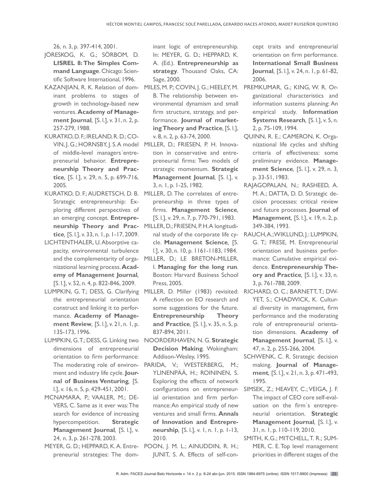26, n. 3, p. 397-414, 2001.

- JÖRESKOG, K. G.; SÖRBOM, D. **LISREL 8: The Simples Command Language**. Chicago: Scientific Software International, 1996.
- inant problems to stages of growth in technology-based new ventures. **Academy of Management Journal***,* [S. l.], v. 31, n. 2, p. 257-279, 1988.
- KURATKO, D. F.; IRELAND, R. D.; CO-VIN, J. G.; HORNSBY, J. S. A model of middle-level managers´entrepreneurial behavior. **Entrepreneurship Theory and Practice***,* [S. l.], v. 29, n. 5, p. 699-716, 2005.
- Strategic entrepreneurship: Exploring different perspectives of an emerging concept. **Entrepreneurship Theory and Practice***,* [S. l.], v. 33, n. 1, p. 1-17, 2009.
- LICHTENTHALER, U. Absorptive capacity, environmental turbulence and the complementarity of organizational learning process. **Academy of Management Journal***,* [S. l.], v. 52, n. 4, p. 822-846, 2009.
- LUMPKIN, G. T.; DESS, G. Clarifying the entrepreneurial orientation construct and linking it to performance. **Academy of Management Review***,* [S. l.], v. 21, n. 1, p. 135-173, 1996.
- LUMPKIN, G.T.; DESS, G. Linking two dimensions of entrepreneurial orientation to firm performance: The moderating role of environment and industry life cycle. **Journal of Business Venturing***,* [S. l.], v. 16, n. 5, p. 429-451, 2001.
- MCNAMARA, P.; VAALER, M.; DE-VERS, C. Same as it ever was: The search for evidence of increasing hypercompetition. **Strategic Management Journal***,* [S. l.], v. 24, n. 3, p. 261-278, 2003.
- preneurial strategies: The dom-

inant logic of entrepreneurship. In: MEYER, G. D.; HEPPARD, K. A. (Ed.). **Entrepreneurship as strategy***.* Thousand Oaks, CA: Sage, 2000.

- KAZANJIAN, R. K. Relation of dom-MILES, M. P.; COVIN, J. G.; HEELEY, M. PREMKUMAR, G.; KING, W. R. Or-B. The relationship between environmental dynamism and small firm structure, strategy, and performance. **Journal of marketing Theory and Practice***,* [S. l.], v. 8, n. 2, p. 63-74, 2000.
	- MILLER, D.; FRIESEN, P. H. Innovation in conservative and entrepreneurial firms: Two models of strategic momentum. **Strategic Management Journal***,* [S. l.], v. 3, n. 1, p. 1-25, 1982.
- KURATKO, D. F.; AUDRETSCH, D. B. MILLER, D. The correlates of entrepreneurship in three types of firms. **Management Science***,* [S. l.], v. 29, n. 7, p. 770-791, 1983.
	- MILLER, D.; FRIESEN, P. H. A longitudicle. **Management Science***,* [S. l.], v. 30, n. 10, p. 1161-1183, 1984.
	- MILLER, D.; LE BRETON-MILLER, I. **Managing for the long run***.* Boston: Harvard Business School Press, 2005.
	- MILLER, D. Miller (1983) revisited: A reflection on EO research and some suggestions for the future. **Entrepreneurship Theory and Practice***,* [S. l.], v. 35, n. 5, p. 837-894, 2011.
	- NOORDERHAVEN, N. G. **Strategic Decision Making***.* Wokingham: Addison-Wesley, 1995.
	- PARIDA, V.; WESTERBERG, M.; YLINENPÄÄ, H.; ROININEN, S. Exploring the effects of network ial orientation and firm performance: An empirical study of new ventures and small firms. **Annals of Innovation and Entrepreneurship***,* [S. l.], v. 1, n. 1, p. 1-13, 2010.
- MEYER, G. D.; HEPPARD, K. A. Entre-POON, J. M. L.; AINUDDIN, R. H.; JUNIT, S. A. Effects of self-con-

cept traits and entrepreneurial orientation on firm performance. **International Small Business Journal***,* [S. l.], v. 24, n. 1, p. 61-82, 2006.

- ganizational characteristics and information sustems planning: An empirical study. **Information Systems Research***,* [S. l.], v. 5, n. 2, p. 75-109, 1994.
- QUINN, R. E.; CAMERON, K. Organizational life cycles and shifting criteria of effectiveness: some preliminary evidence. **Management Science***,* [S. l.], v. 29, n. 3, p. 33-51, 1983.
- RAJAGOPALAN, N.; RASHEED, A. M. A.; DATTA, D. D. Strategic decision processes: critical review and future processes. **Journal of Management***,* [S. l.], v. 19, n. 2, p. 349-384, 1993.
- nal study of the corporate life cy-RAUCH, A.; WIKLUND, J.: LUMPKIN, G. T.; FRESE, M. Entrepreneurial orientation and business performance: Cumulative empirical evidence. **Entrepreneurship Theory and Practice***,* [S. l.], v. 33, n. 3, p. 761-788, 2009.
	- RICHARD, O. C.; BARNETT, T.; DW-YET, S.; CHADWICK, K. Cultural diversity in management, firm performance and the moderating role of entrepreneurial orientation dimensions. **Academy of Management Journal***,* [S. l.], v. 47, n. 2, p. 255-266, 2004.
	- SCHWENK, C. R. Strategic decision making. **Journal of Management***,* [S. l.], v. 21, n. 3, p. 471-493, 1995.
- configurations on entrepreneur-SIMSEK, Z.; HEAVEY, C.; VEIGA, J. F. The impact of CEO core self-evaluation on the firm´s entrepreneurial orientation. **Strategic Management Journal***,* [S. l.], v. 31, n. 1, p. 110-119, 2010.
	- SMITH, K.G.; MITCHELL, T. R.; SUM-MER, C. E. Top level management priorities in different stages of the